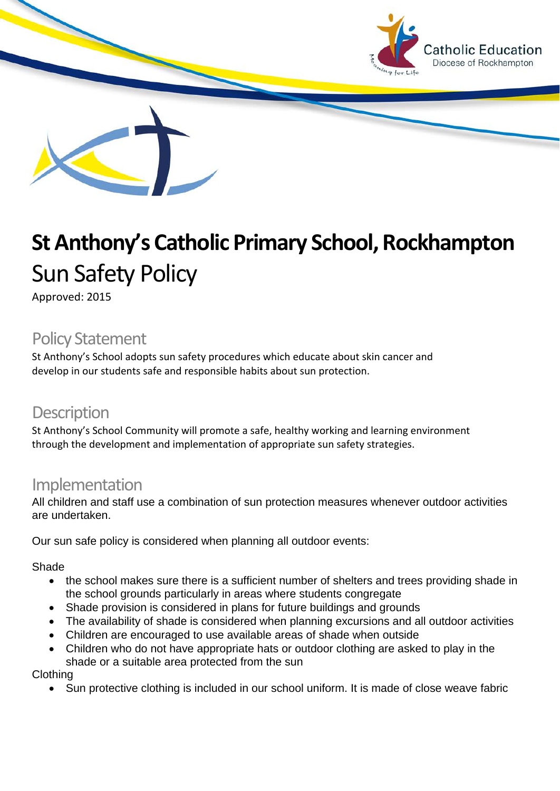

# **St Anthony's Catholic Primary School, Rockhampton** Sun Safety Policy

Approved: 2015

### Policy Statement

St Anthony's School adopts sun safety procedures which educate about skin cancer and develop in our students safe and responsible habits about sun protection.

#### **Description**

St Anthony's School Community will promote a safe, healthy working and learning environment through the development and implementation of appropriate sun safety strategies.

#### Implementation

All children and staff use a combination of sun protection measures whenever outdoor activities are undertaken.

Our sun safe policy is considered when planning all outdoor events:

Shade

- the school makes sure there is a sufficient number of shelters and trees providing shade in the school grounds particularly in areas where students congregate
- Shade provision is considered in plans for future buildings and grounds
- The availability of shade is considered when planning excursions and all outdoor activities
- Children are encouraged to use available areas of shade when outside
- Children who do not have appropriate hats or outdoor clothing are asked to play in the shade or a suitable area protected from the sun

Clothing

• Sun protective clothing is included in our school uniform. It is made of close weave fabric